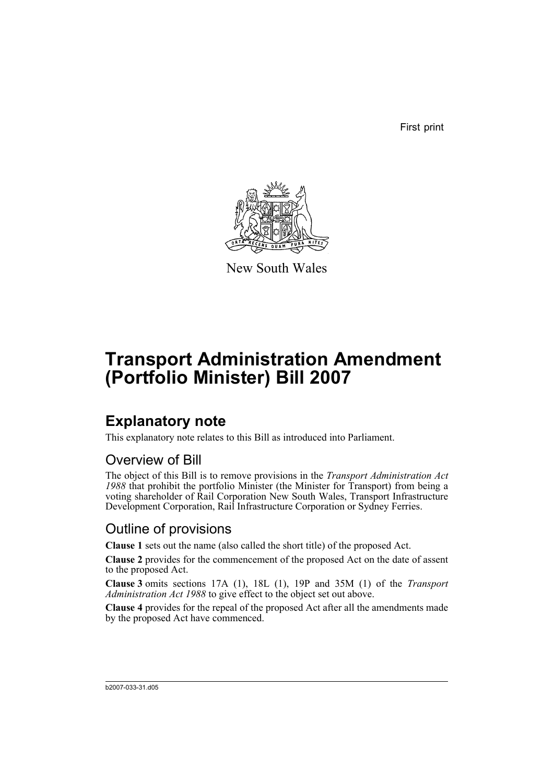First print



New South Wales

# **Transport Administration Amendment (Portfolio Minister) Bill 2007**

### **Explanatory note**

This explanatory note relates to this Bill as introduced into Parliament.

#### Overview of Bill

The object of this Bill is to remove provisions in the *Transport Administration Act 1988* that prohibit the portfolio Minister (the Minister for Transport) from being a voting shareholder of Rail Corporation New South Wales, Transport Infrastructure Development Corporation, Rail Infrastructure Corporation or Sydney Ferries.

#### Outline of provisions

**Clause 1** sets out the name (also called the short title) of the proposed Act.

**Clause 2** provides for the commencement of the proposed Act on the date of assent to the proposed Act.

**Clause 3** omits sections 17A (1), 18L (1), 19P and 35M (1) of the *Transport Administration Act 1988* to give effect to the object set out above.

**Clause 4** provides for the repeal of the proposed Act after all the amendments made by the proposed Act have commenced.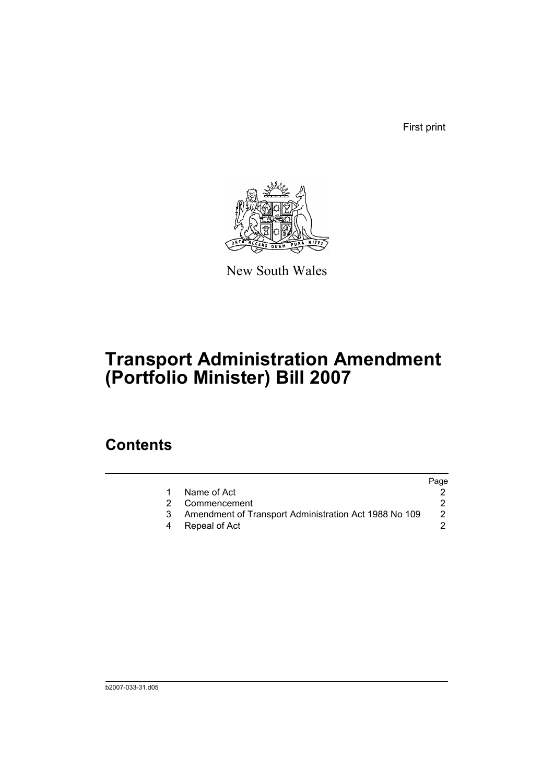First print



New South Wales

# **Transport Administration Amendment (Portfolio Minister) Bill 2007**

### **Contents**

|   |                                                       | Page |
|---|-------------------------------------------------------|------|
|   | Name of Act                                           |      |
| 2 | Commencement                                          |      |
|   | Amendment of Transport Administration Act 1988 No 109 | 2    |
| 4 | Repeal of Act                                         |      |
|   |                                                       |      |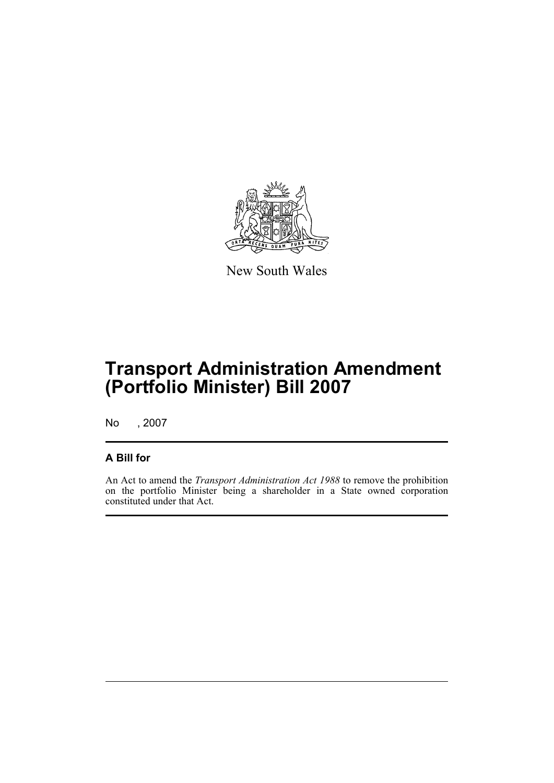

New South Wales

## **Transport Administration Amendment (Portfolio Minister) Bill 2007**

No , 2007

#### **A Bill for**

An Act to amend the *Transport Administration Act 1988* to remove the prohibition on the portfolio Minister being a shareholder in a State owned corporation constituted under that Act.